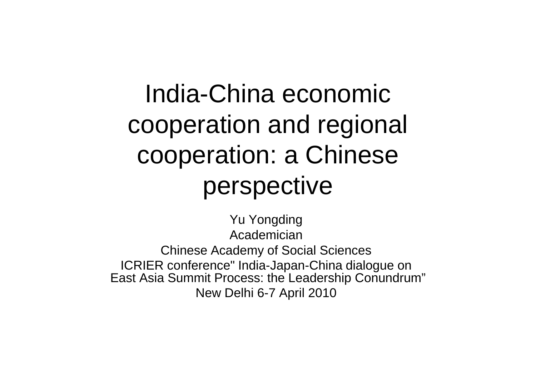India-China economic cooperation and regional cooperation: a Chinese perspective

Yu Yongding Academician Chinese Academy of Social Sciences ICRIER conference" India-Japan-China dialogue on East Asia Summit Process: the Leadership Conundrum"New Delhi 6-7 April 2010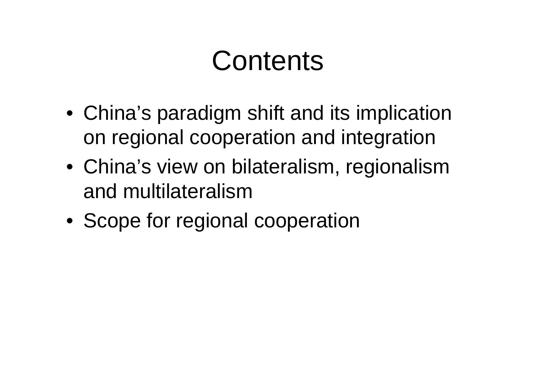# **Contents**

- China's paradigm shift and its implication on regional cooperation and integration
- China's view on bilateralism, regionalism and multilateralism
- Scope for regional cooperation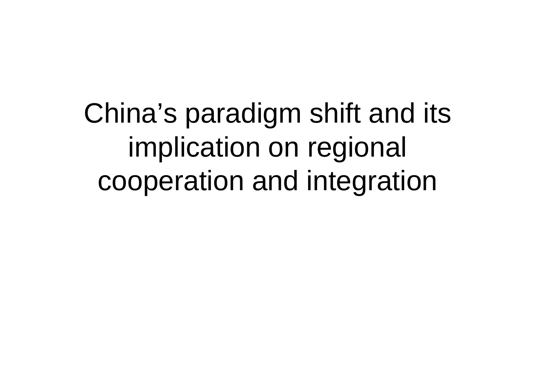China's paradigm shift and its implication on regional cooperation and integration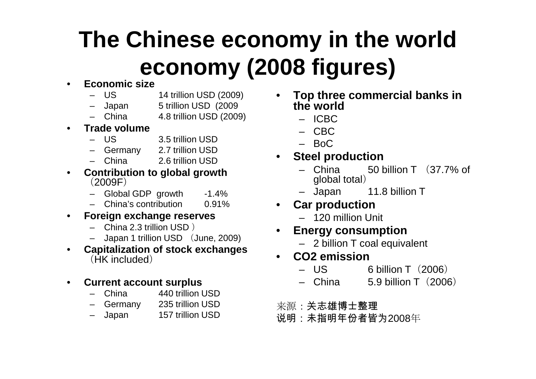## **The Chinese economy in the world economy (2008 figures)**

#### •**Economic size**

- –14 trillion USD (2009)
- –5 trillion USD (2009)
- China 4.8 trillion USD (2009)–
- • **Trade volume**
	- –3.5 trillion USD
	- Germany 2.7 trillion USD
	- China 2.6 trillion USD–
- **Contribution to global growth**•(2009F)
	- Global GDP growth -1.4%
	- $0.91%$ – China's contribution 0.91%
- $\bullet$  **Foreign exchange reserves**
	- China 2.3 trillion USD )
	- Japan 1 trillion USD (June, 2009)
- **Capitalization of stock exchanges**•(HK included)
- $\bullet$  **Current account surplus**
	- China 440 trillion USD–
	- Germany 235 trillion USD
	- Japan 157 trillion USD
- • **Top three commercial banks in the world**
	- ICBC
	- CBC
	- BoC
- **Steel production**•
	- China 50 billion T (37.7% of –global total)
	- Japan 11.8 billion T
- **Car production**
	- 120 million Unit
- • **Energy consumption**
	- 2 billion T coal equivalent
- • **CO2 emission**
	- –6 billion T (2006)
	- China 5.9 billion T (2006) –
- 来源:关志雄博士整理
- 说明:未指明年份者皆为2008年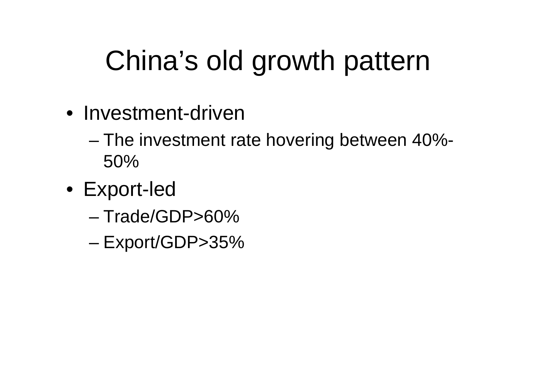# China's old growth pattern

- Investment-driven
	- – The investment rate hovering between 40%-50%
- Export -led
	- –Trade/GDP>60%
	- LVNOIT/(41 )P\'{} Export/GDP>35%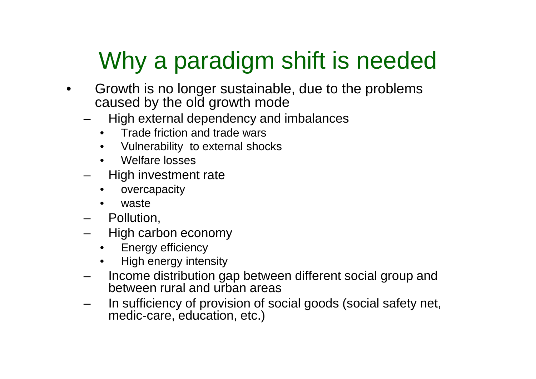## Why a paradigm shift is needed

- $\bullet$  Growth is no longer sustainable, due to the problems caused by the old growth mode
	- High external dependency and imbalances
		- Trade friction and trade wars
		- Vulnerability to external shocks
		- •Welfare losses
	- High investment rate
		- •overcapacity
		- •waste
	- Poll⊔ti≀ Pollution,
	- High carbon economy
		- •Energy efficiency
		- High energy intensity•
	- Income distribution gap between different social group and between rural and urban areas
	- In sufficiency of provision of social goods (social safety net, medic-care, education, etc.)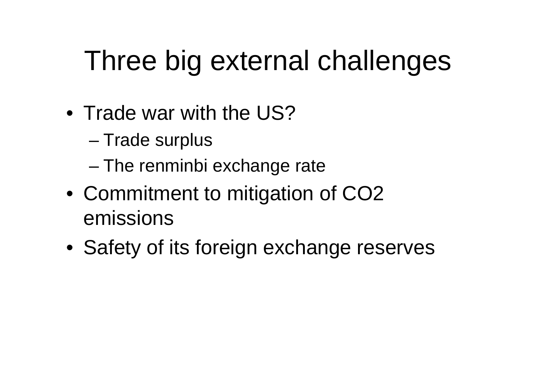# Three big external challenges

- Trade war with the US?
	- –Trade surplus
	- and the state of the state The renminbi exchange rate
- Commitment to mitigation of CO2 emissions
- Safety of its foreign exchange reserves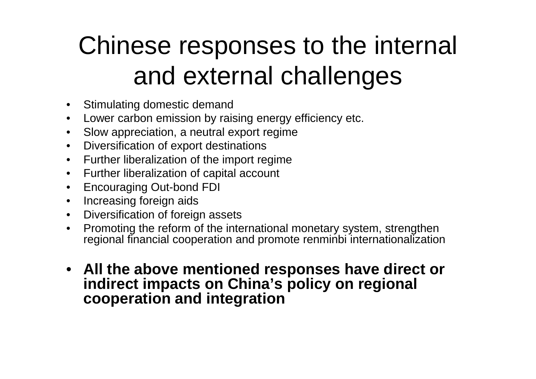# Chinese responses to the internal and external challenges

- Stimulating domestic demand
- Lower carbon emission by raising energy efficiency etc.  $\bullet$
- $\bullet$ Slow appreciation, a neutral export regime
- Diversification of export destinations
- Further liberalization of the import regime
- $\bullet$ Further liberalization of capital account
- Encouraging Out-bond FDI
- •Increasing foreign aids
- Diversification of foreign assets $\bullet$
- Promoting the reform of the international monetary system, strengthen  $\bullet$ regional financial cooperation and promote renminbi internationalization
- **All the above mentioned responses have direct or indirect impacts on China's policy on regional cooperation and integration**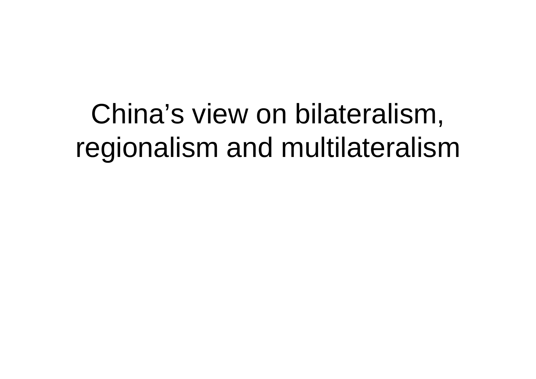# China's view on bilateralism, regionalism and multilateralism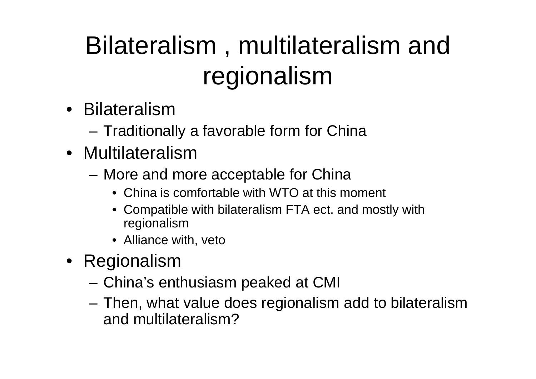# Bilateralism , multilateralism and regionalism

- Bilateralism
	- –Traditionally a favorable form for China
- Multilateralism
	- $-$  with  $\Box$  and in More and more acceptable for China
		- China is comfortable with WTO at this moment
		- Compatible with bilateralism FTA ect. and mostly with regionalism
		- Alliance with, veto
- Regionalism
	- '''''''''' < 0 China's enthusiasm peaked at CMI
	- **Links of the Company**  Then, what value does regionalism add to bilateralism and multilateralism?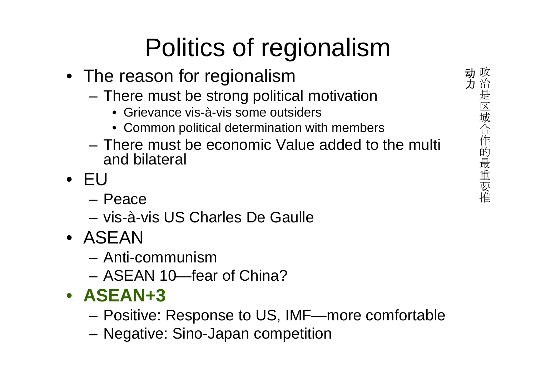# Politics of regionalism

- The reason for regionalism
	- – There must be strong political motivation
		- Grievance vis-à-vis some outsiders
		- Common political determination with members
	- – There must be economic Value added to the multi and bilateral
- EU
	- –– Peace<br>.
	- and the state of the vis-à-vis US Charles De Gaulle
- ASEAN
	- дин Anti-communism
	- AN-AN-II<del>---</del>IA ASEAN 10—fear of China?
- **ASEAN+3**
	- Positiva Positive: Response to US, IMF—more comfortable
	- **Links of the Common** Negative: Sino-Japan competition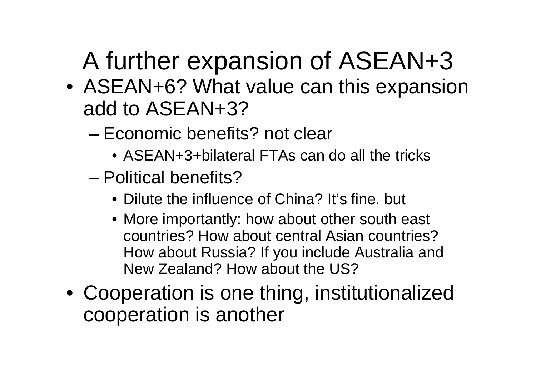# A further expansion of ASEAN+3

- ASEAN+6? What value can this expansion add to ASEAN+3?
	- and the state of the state Economic benefits? not clear
		- ASEAN+3+bilateral FTAs can do all the tricks
	- and the state of the state Political benefits?
		- Dilute the influence of China? It's fine. but
		- More importantly: how about other south east countries? How about central Asian countries? How about Russia? If you include Australia and New Zealand? How about the US?
- Cooperation is one thing, institutionalized cooperation is another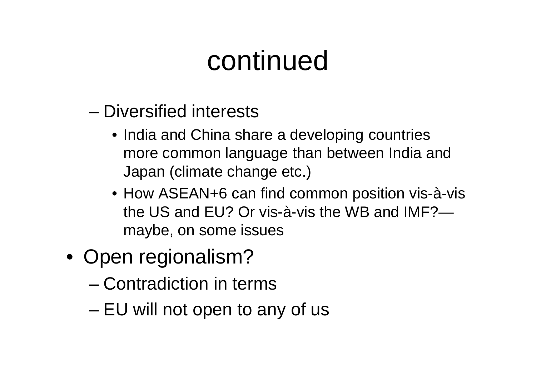## continued

- and the state of the state Diversified interests
	- India and China share a developing countries more common language than between India and Japan (climate change etc.)
	- How ASEAN+6 can find common position vis-à-vis the US and EU? Or vis-à-vis the WB and IMF?maybe, on some issues
- Open regionalism?
	- and the state of the state Contradiction in terms
	- –EU will not open to any of us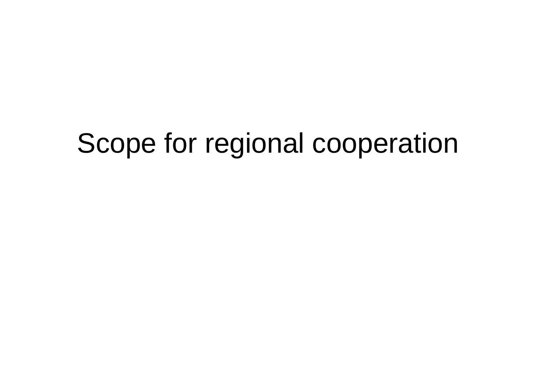# Scope for regional cooperation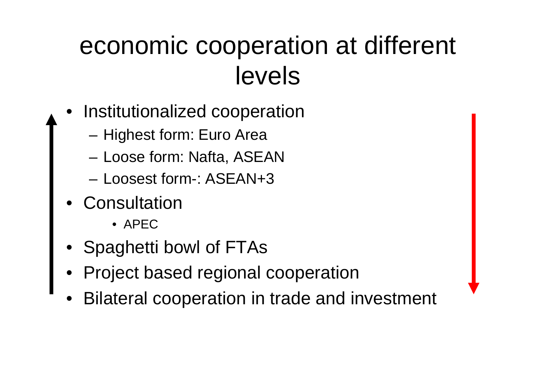## economic cooperation at different levels

- • Institutionalized cooperation
	- **Links of the Common** Highest form: Euro Area
	- and the state of the Loose form: Nafta, ASEAN
	- –Loosest form-: ASEAN+3
- •**Consultation** 
	- APEC
- •Spaghetti bowl of FTAs
- •Project based regional cooperation
- •Bilateral cooperation in trade and investment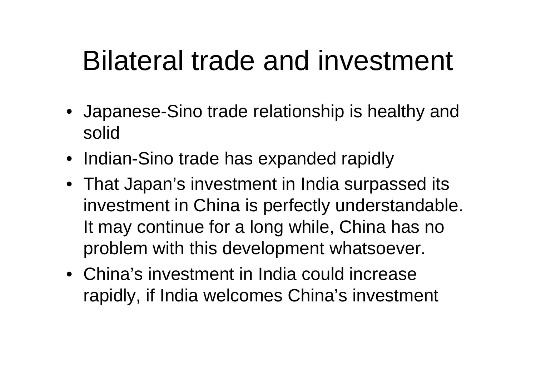# Bilateral trade and investment

- Japanese-Sino trade relationship is healthy and solid
- Indian-Sino trade has expanded rapidly
- That Japan's investment in India surpassed its investment in China is perfectly understandable. It may continue for a long while, China has no problem with this development whatsoever.
- China's investment in India could increase rapidly, if India welcomes China's investment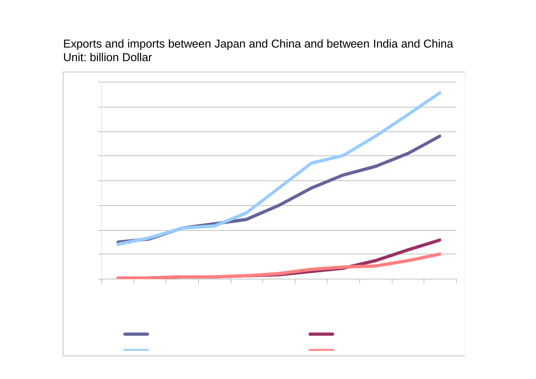Exports and imports between Japan and China and between India and China Unit: billion Dollar

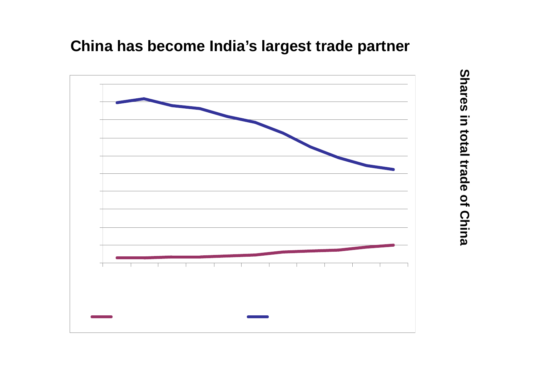#### **China has become India's largest trade partner**



Shares in total trade of China **Shares in total trade of China**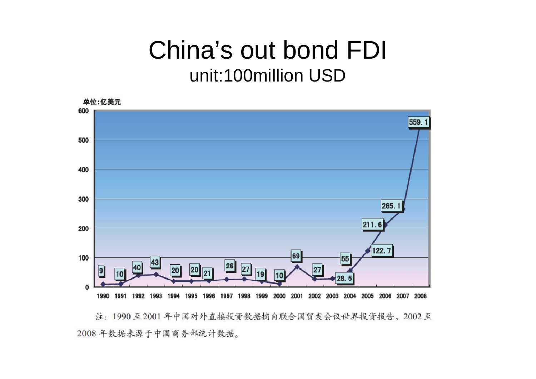### China's out bond FDI unit:100million USD



注: 1990至2001年中国对外直接投资数据摘自联合国贸发会议世界投资报告, 2002至 2008年数据来源于中国商务部统计数据。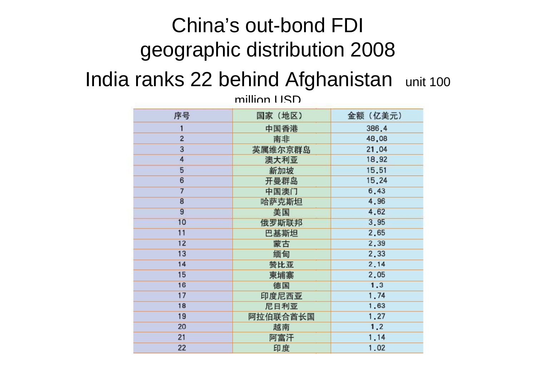## China's out-bond FDI geographic distribution 2008

#### India ranks 22 behind Afghanistan unit 100

million USD

| 序号                      | 国家(地区)   | 金额 (亿美元) |
|-------------------------|----------|----------|
| 1                       | 中国香港     | 386.4    |
| $\overline{\mathbf{c}}$ | 南非       | 48,08    |
| 3                       | 英属维尔京群岛  | 21.04    |
| 4                       | 澳大利亚     | 18,92    |
| 5                       | 新加坡      | 15.51    |
| 6                       | 开曼群岛     | 15.24    |
| $\overline{7}$          | 中国澳门     | 6.43     |
| $\overline{8}$          | 哈萨克斯坦    | 4.96     |
| $\overline{9}$          | 美国       | 4,62     |
| 10                      | 俄罗斯联邦    | 3.95     |
| 11                      | 巴基斯坦     | 2,65     |
| 12                      | 蒙古       | 2.39     |
| 13                      | 缅甸       | 2,33     |
| 14                      | 赞比亚      | 2.14     |
| 15                      | 柬埔寨      | 2.05     |
| 16                      | 德国       | 1.3      |
| 17                      | 印度尼西亚    | 1.74     |
| 18                      | 尼日利亚     | 1.63     |
| 19                      | 阿拉伯联合酋长国 | 1.27     |
| 20                      | 越南       | 1,2      |
| 21                      | 阿富汗      | 1.14     |
| 22                      | 印度       | 1.02     |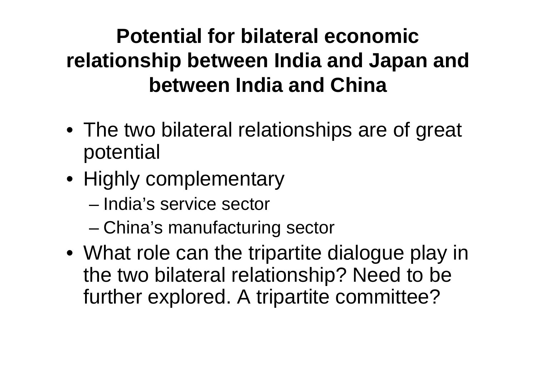## **Potential for bilateral economic relationship between India and Japan and between India and China**

- The two bilateral relationships are of great potential
- Highly complementary
	- –India's service sector
	- and the state of the state China's manufacturing sector
- What role can the tripartite dialogue play in the two bilateral relationship? Need to be further explored. A tripartite committee?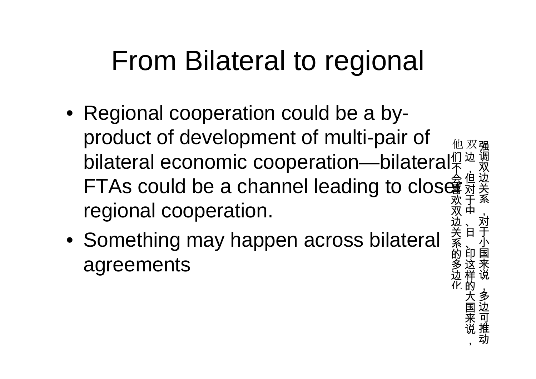# From Bilateral to regional

• Regional cooperation could be a byproduct of development of multi-pair of bilateral economic cooperation—bilateral FTAs could be a channel leading to clos $\hat{\bar{\mathbf{g}}}^{\frac{4}{3}}$ 双 边 ,但对于中他 们 不 喜欢双 边regional cooperation.

强调双边关系

,对于小国来说

,多边可推动

 关 系的多边化 、日

、印这样的大国来说

,

• Something may happen across bilateral agreements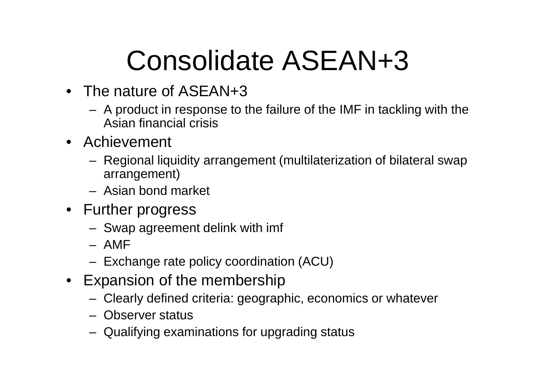# Consolidate ASEAN+3

- The nature of ASEAN+3
	- $\Delta$  product in response to A product in response to the failure of the IMF in tackling with the Asian financial crisis
- Achievement
	- – Regional liquidity arrangement (multilaterization of bilateral swap arrangement)
	- –Asian bond market
- Further progress
	- –Swap agreement delink with imf
	- –AMF
	- Evr Exchange rate policy coordination (ACU)
- Expansion of the membership
	- –Clearly defined criteria: geographic, economics or whatever
	- –Observer status
	- –Qualifying examinations for upgrading status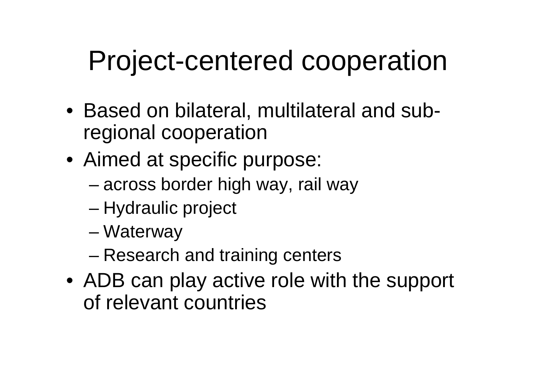# Project-centered cooperation

- Based on bilateral, multilateral and subregional cooperation
- Aimed at specific purpose:
	- and the state of the state — across border high way, rail way
	- –Hydraulic project
	- and the state of the state **Waterway**
	- and the state of the state Research and training centers
- ADB can play active role with the support of relevant countries